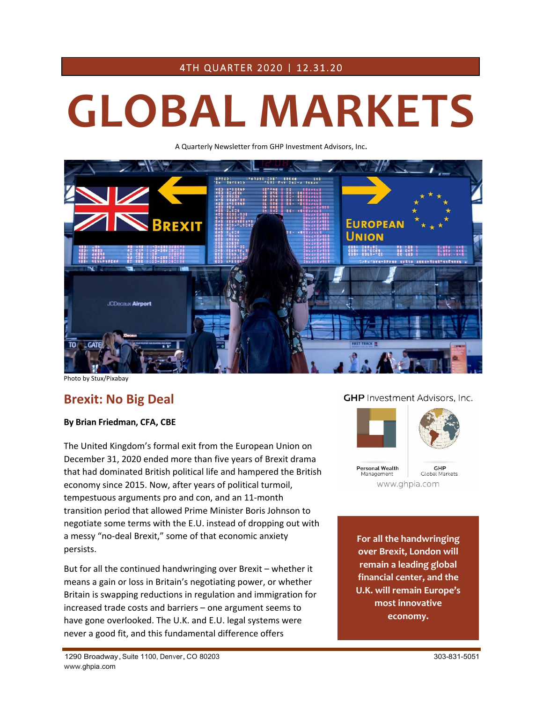# 4TH QUARTER 2020 | 12.31.20

# **GLOBAL MARKETS**

A Quarterly Newsletter from GHP Investment Advisors, Inc.



Photo by Stux/Pixabay

# **Brexit: No Big Deal**

#### **By Brian Friedman, CFA, CBE**

The United Kingdom's formal exit from the European Union on December 31, 2020 ended more than five years of Brexit drama that had dominated British political life and hampered the British economy since 2015. Now, after years of political turmoil, tempestuous arguments pro and con, and an 11‐month transition period that allowed Prime Minister Boris Johnson to negotiate some terms with the E.U. instead of dropping out with a messy "no‐deal Brexit," some of that economic anxiety persists.

But for all the continued handwringing over Brexit – whether it means a gain or loss in Britain's negotiating power, or whether Britain is swapping reductions in regulation and immigration for increased trade costs and barriers – one argument seems to have gone overlooked. The U.K. and E.U. legal systems were never a good fit, and this fundamental difference offers

#### **GHP** Investment Advisors, Inc.



**For all the handwringing over Brexit, London will remain a leading global financial center, and the U.K. will remain Europe's most innovative economy.**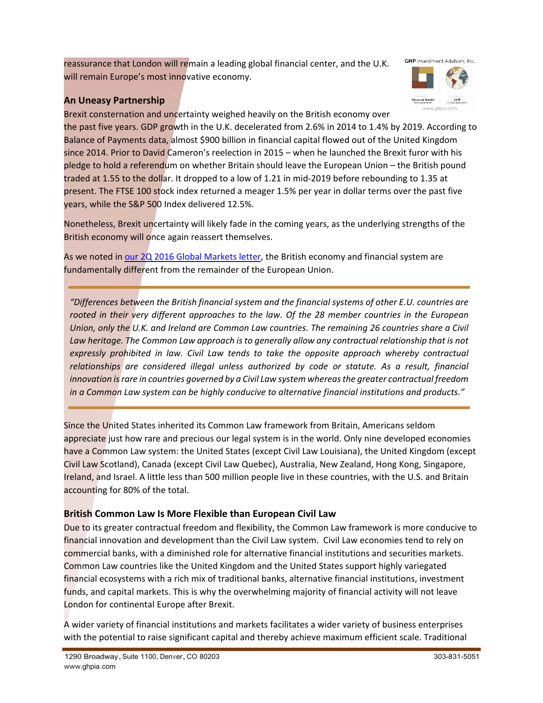reassurance that London will remain a leading global financial center, and the U.K. will remain Europe's most innovative economy.

# **An Uneasy Partnership**



GHP<br>Clobal Mark www.ahpia.com

Personal Wealth<br>Management

Brexit consternation and uncertainty weighed heavily on the British economy over the past five years. GDP growth in the U.K. decelerated from 2.6% in 2014 to 1.4% by 2019. According to Balance of Payments data, almost \$900 billion in financial capital flowed out of the United Kingdom since 2014. Prior to David Cameron's reelection in 2015 – when he launched the Brexit furor with his pledge to hold a referendum on whether Britain should leave the European Union – the British pound traded at 1.55 to the dollar. It dropped to a low of 1.21 in mid‐2019 before rebounding to 1.35 at present. The FTSE 100 stock index returned a meager 1.5% per year in dollar terms over the past five years, while the S&P 500 Index delivered 12.5%.

Nonetheless, Brexit uncertainty will likely fade in the coming years, as the underlying strengths of the British economy will once again reassert themselves.

As we noted in [our 2Q 2016 Global Markets letter,](https://ghpia.com/wp-content/uploads/2018/04/2016Q2-Brexit.pdf) the British economy and financial system are fundamentally different from the remainder of the European Union.

*"Differences between the British financial system and the financial systems of other E.U. countries are rooted in their very different approaches to the law. Of the 28 member countries in the European Union, only the U.K. and Ireland are Common Law countries. The remaining 26 countries share a Civil*  Law heritage. The Common Law approach is to generally allow any contractual relationship that is not *expressly prohibited in law. Civil Law tends to take the opposite approach whereby contractual relationships are considered illegal unless authorized by code or statute. As a result, financial innovation is rare in countries governed by a Civil Law system whereas the greater contractual freedom in a Common Law system can be highly conducive to alternative financial institutions and products."*

Since the United States inherited its Common Law framework from Britain, Americans seldom appreciate just how rare and precious our legal system is in the world. Only nine developed economies have a Common Law system: the United States (except Civil Law Louisiana), the United Kingdom (except Civil Law Scotland), Canada (except Civil Law Quebec), Australia, New Zealand, Hong Kong, Singapore, Ireland, and Israel. A little less than 500 million people live in these countries, with the U.S. and Britain accounting for 80% of the total.

## **British Common Law Is More Flexible than European Civil Law**

Due to its greater contractual freedom and flexibility, the Common Law framework is more conducive to financial innovation and development than the Civil Law system. Civil Law economies tend to rely on commercial banks, with a diminished role for alternative financial institutions and securities markets. Common Law countries like the United Kingdom and the United States support highly variegated financial ecosystems with a rich mix of traditional banks, alternative financial institutions, investment funds, and capital markets. This is why the overwhelming majority of financial activity will not leave London for continental Europe after Brexit.

A wider variety of financial institutions and markets facilitates a wider variety of business enterprises with the potential to raise significant capital and thereby achieve maximum efficient scale. Traditional